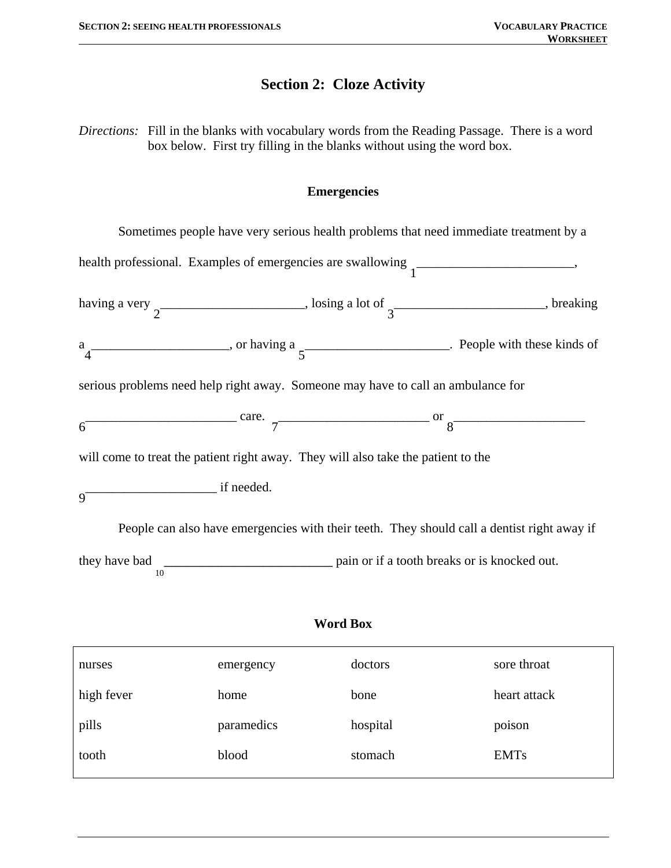## **Section 2: Cloze Activity**

*Directions:* Fill in the blanks with vocabulary words from the Reading Passage. There is a word box below. First try filling in the blanks without using the word box.

#### **Emergencies**

Sometimes people have very serious health problems that need immediate treatment by a health professional. Examples of emergencies are swallowing  $\frac{1}{1}$ having a very  $\overline{a}$   $\overline{a}$   $\overline{b}$  and  $\overline{c}$  and  $\overline{d}$   $\overline{d}$   $\overline{d}$   $\overline{d}$   $\overline{d}$   $\overline{d}$   $\overline{d}$   $\overline{d}$   $\overline{d}$   $\overline{d}$   $\overline{d}$   $\overline{d}$   $\overline{d}$   $\overline{d}$   $\overline{d}$   $\overline{d}$   $\overline{d}$   $\overline{d}$  a  $4\overline{\hspace{1cm}}$ , or having a  $5\overline{\hspace{1cm}}$ . People with these kinds of serious problems need help right away. Someone may have to call an ambulance for  $6<sup>-</sup>$  $\overline{\phantom{a}}$  care. 7 \_\_\_\_\_\_\_\_\_\_\_\_\_\_\_\_\_\_\_\_\_\_\_ or 8 \_\_\_\_\_\_\_\_\_\_\_\_\_\_\_\_\_\_\_\_ will come to treat the patient right away. They will also take the patient to the  $Q^+$ \_\_\_\_\_\_\_\_\_\_\_\_\_\_\_\_\_\_\_\_ if needed. People can also have emergencies with their teeth. They should call a dentist right away if

they have bad 10 \_\_\_\_\_\_\_\_\_\_\_\_\_\_\_\_\_\_\_\_\_\_ pain or if a tooth breaks or is knocked out.

### **Word Box**

| emergency  | doctors  | sore throat  |
|------------|----------|--------------|
| home       | bone     | heart attack |
| paramedics | hospital | poison       |
| blood      | stomach  | <b>EMTs</b>  |
|            |          |              |